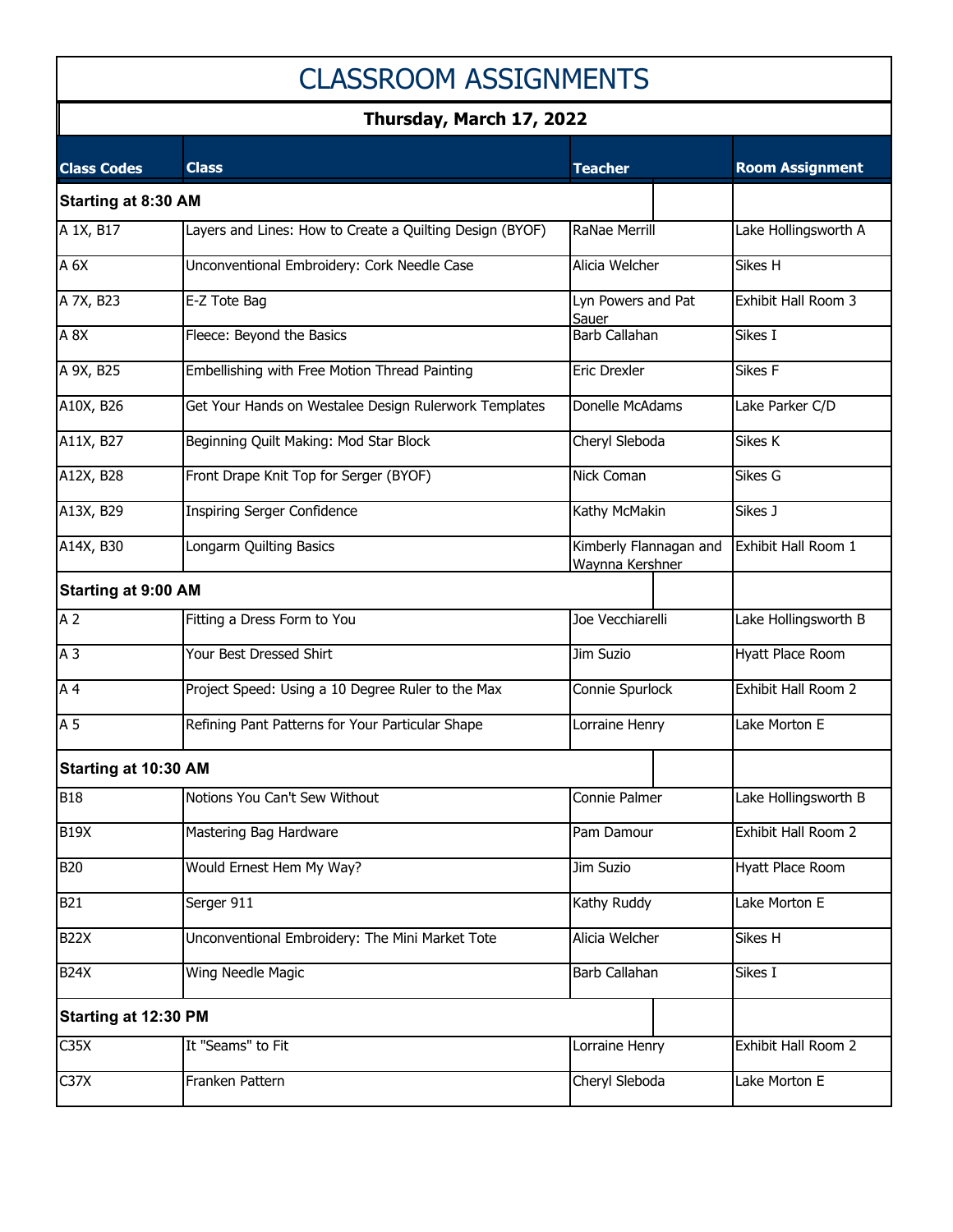# CLASSROOM ASSIGNMENTS

### **Thursday, March 17, 2022**

| <b>Class Codes</b>          | <b>Class</b>                                             | <b>Teacher</b>                            | <b>Room Assignment</b> |
|-----------------------------|----------------------------------------------------------|-------------------------------------------|------------------------|
| <b>Starting at 8:30 AM</b>  |                                                          |                                           |                        |
| A 1X, B17                   | Layers and Lines: How to Create a Quilting Design (BYOF) | RaNae Merrill                             | Lake Hollingsworth A   |
| $A_6X$                      | Unconventional Embroidery: Cork Needle Case              | Alicia Welcher                            | Sikes H                |
| A 7X, B23                   | E-Z Tote Bag                                             | Lyn Powers and Pat<br>Sauer               | Exhibit Hall Room 3    |
| A 8X                        | Fleece: Beyond the Basics                                | <b>Barb Callahan</b>                      | Sikes I                |
| A 9X, B25                   | Embellishing with Free Motion Thread Painting            | Eric Drexler                              | Sikes F                |
| A10X, B26                   | Get Your Hands on Westalee Design Rulerwork Templates    | Donelle McAdams                           | Lake Parker C/D        |
| A11X, B27                   | Beginning Quilt Making: Mod Star Block                   | Cheryl Sleboda                            | Sikes K                |
| A12X, B28                   | Front Drape Knit Top for Serger (BYOF)                   | Nick Coman                                | Sikes G                |
| A13X, B29                   | Inspiring Serger Confidence                              | Kathy McMakin                             | Sikes J                |
| A14X, B30                   | Longarm Quilting Basics                                  | Kimberly Flannagan and<br>Waynna Kershner | Exhibit Hall Room 1    |
| <b>Starting at 9:00 AM</b>  |                                                          |                                           |                        |
| A <sub>2</sub>              | Fitting a Dress Form to You                              | Joe Vecchiarelli                          | Lake Hollingsworth B   |
| A <sub>3</sub>              | Your Best Dressed Shirt                                  | Jim Suzio                                 | Hyatt Place Room       |
| A <sub>4</sub>              | Project Speed: Using a 10 Degree Ruler to the Max        | Connie Spurlock                           | Exhibit Hall Room 2    |
| A <sub>5</sub>              | Refining Pant Patterns for Your Particular Shape         | Lorraine Henry                            | Lake Morton E          |
| Starting at 10:30 AM        |                                                          |                                           |                        |
| <b>B18</b>                  | Notions You Can't Sew Without                            | Connie Palmer                             | Lake Hollingsworth B   |
| <b>B19X</b>                 | Mastering Bag Hardware                                   | Pam Damour                                | Exhibit Hall Room 2    |
| <b>B20</b>                  | Would Ernest Hem My Way?                                 | Jim Suzio                                 | Hyatt Place Room       |
| <b>B21</b>                  | Serger 911                                               | Kathy Ruddy                               | Lake Morton E          |
| <b>B22X</b>                 | Unconventional Embroidery: The Mini Market Tote          | Alicia Welcher                            | Sikes H                |
| <b>B24X</b>                 | Wing Needle Magic                                        | Barb Callahan                             | Sikes I                |
| <b>Starting at 12:30 PM</b> |                                                          |                                           |                        |
| C35X                        | It "Seams" to Fit                                        | Lorraine Henry                            | Exhibit Hall Room 2    |
| $\overline{\text{C}}$ 37X   | Franken Pattern                                          | Cheryl Sleboda                            | Lake Morton E          |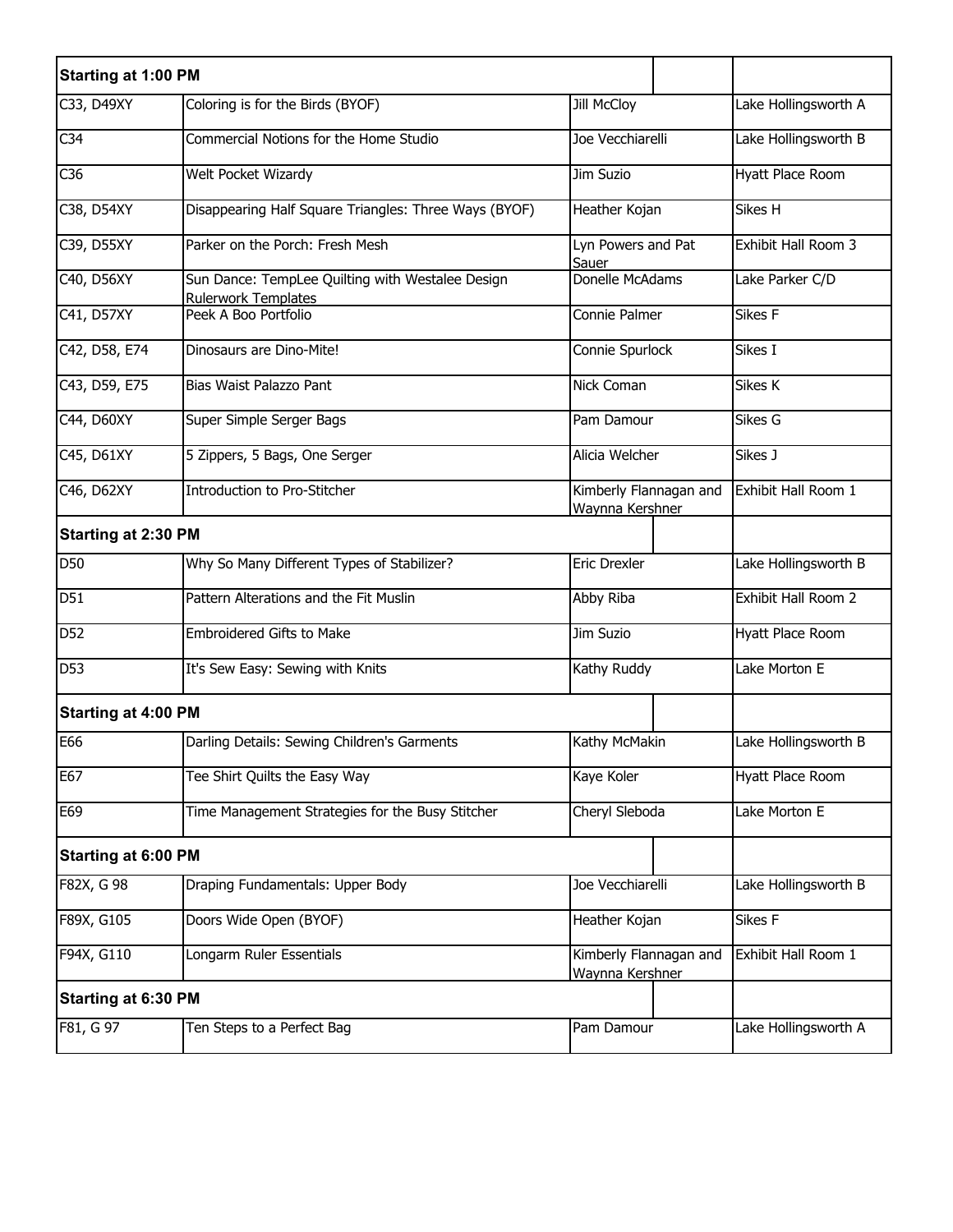| <b>Starting at 1:00 PM</b> |                                                                         |                                           |  |                      |
|----------------------------|-------------------------------------------------------------------------|-------------------------------------------|--|----------------------|
| C33, D49XY                 | Coloring is for the Birds (BYOF)                                        | Jill McCloy                               |  | Lake Hollingsworth A |
| C <sub>34</sub>            | Commercial Notions for the Home Studio                                  | Joe Vecchiarelli                          |  | Lake Hollingsworth B |
| C36                        | Welt Pocket Wizardy                                                     | Jim Suzio                                 |  | Hyatt Place Room     |
| C38, D54XY                 | Disappearing Half Square Triangles: Three Ways (BYOF)                   | Heather Kojan                             |  | Sikes H              |
| C39, D55XY                 | Parker on the Porch: Fresh Mesh                                         | Lyn Powers and Pat<br>Sauer               |  | Exhibit Hall Room 3  |
| C40, D56XY                 | Sun Dance: TempLee Quilting with Westalee Design<br>Rulerwork Templates | Donelle McAdams                           |  | Lake Parker C/D      |
| C41, D57XY                 | Peek A Boo Portfolio                                                    | Connie Palmer                             |  | Sikes F              |
| C42, D58, E74              | Dinosaurs are Dino-Mite!                                                | Connie Spurlock                           |  | Sikes I              |
| C43, D59, E75              | Bias Waist Palazzo Pant                                                 | Nick Coman                                |  | Sikes K              |
| C44, D60XY                 | Super Simple Serger Bags                                                | Pam Damour                                |  | Sikes G              |
| C45, D61XY                 | 5 Zippers, 5 Bags, One Serger                                           | Alicia Welcher                            |  | Sikes J              |
| C46, D62XY                 | Introduction to Pro-Stitcher                                            | Kimberly Flannagan and<br>Waynna Kershner |  | Exhibit Hall Room 1  |
| <b>Starting at 2:30 PM</b> |                                                                         |                                           |  |                      |
| D50                        | Why So Many Different Types of Stabilizer?                              | Eric Drexler                              |  | Lake Hollingsworth B |
| D51                        | Pattern Alterations and the Fit Muslin                                  | Abby Riba                                 |  | Exhibit Hall Room 2  |
| D <sub>52</sub>            | Embroidered Gifts to Make                                               | Jim Suzio                                 |  | Hyatt Place Room     |
| D53                        | It's Sew Easy: Sewing with Knits                                        | Kathy Ruddy                               |  | Lake Morton E        |
| <b>Starting at 4:00 PM</b> |                                                                         |                                           |  |                      |
| E66                        | Darling Details: Sewing Children's Garments                             | Kathy McMakin                             |  | Lake Hollingsworth B |
| E67                        | Tee Shirt Quilts the Easy Way                                           | Kaye Koler                                |  | Hyatt Place Room     |
| E69                        | Time Management Strategies for the Busy Stitcher                        | Cheryl Sleboda                            |  | Lake Morton E        |
| <b>Starting at 6:00 PM</b> |                                                                         |                                           |  |                      |
| F82X, G 98                 | Draping Fundamentals: Upper Body                                        | Joe Vecchiarelli                          |  | Lake Hollingsworth B |
| F89X, G105                 | Doors Wide Open (BYOF)                                                  | Heather Kojan                             |  | Sikes F              |
| F94X, G110                 | Longarm Ruler Essentials                                                | Kimberly Flannagan and<br>Waynna Kershner |  | Exhibit Hall Room 1  |
| <b>Starting at 6:30 PM</b> |                                                                         |                                           |  |                      |
| F81, G 97                  | Ten Steps to a Perfect Bag                                              | Pam Damour                                |  | Lake Hollingsworth A |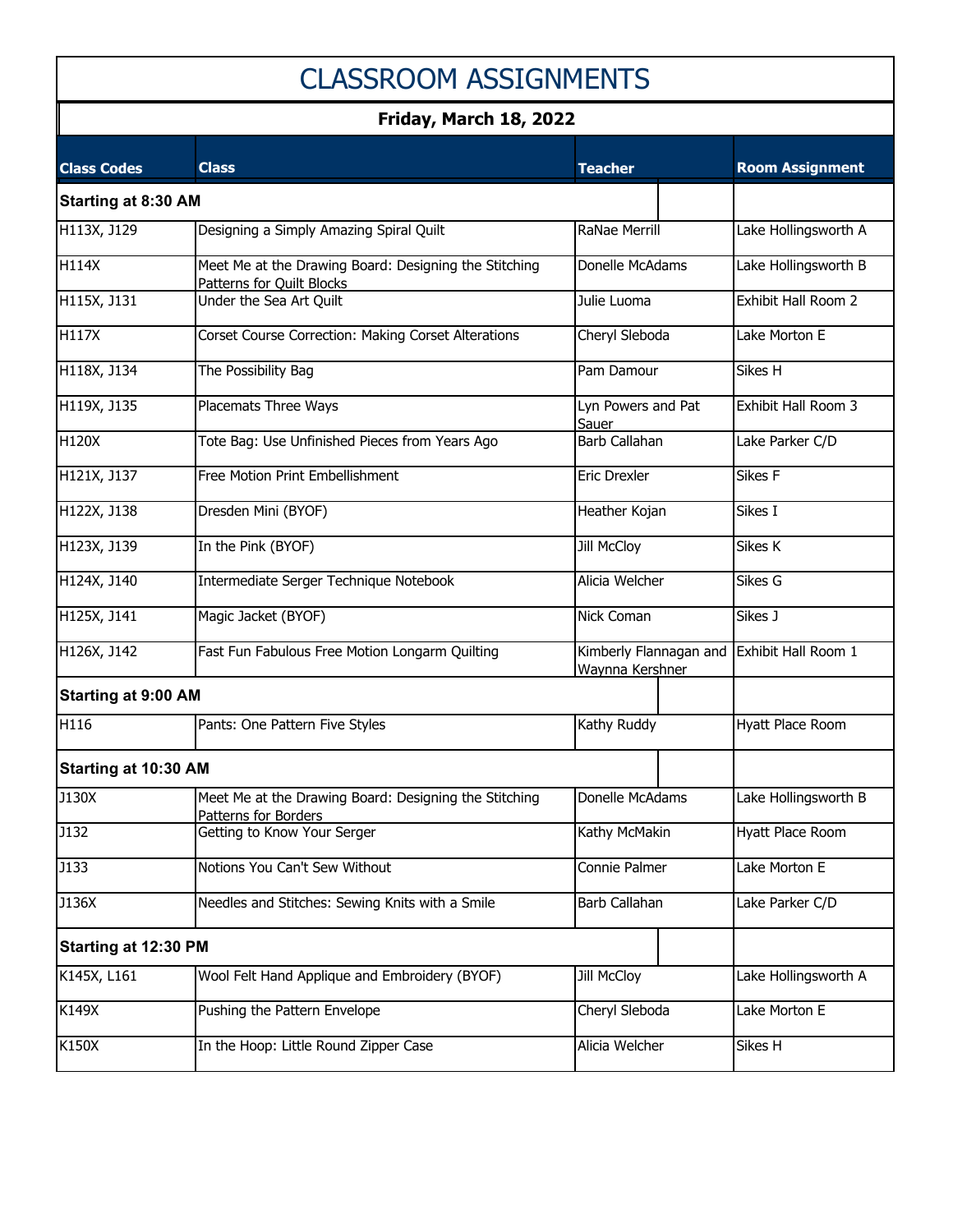## CLASSROOM ASSIGNMENTS

#### **Friday, March 18, 2022**

| <b>Class Codes</b>          | <b>Class</b>                                                                       | <b>Teacher</b>                            | <b>Room Assignment</b> |
|-----------------------------|------------------------------------------------------------------------------------|-------------------------------------------|------------------------|
| <b>Starting at 8:30 AM</b>  |                                                                                    |                                           |                        |
| H113X, J129                 | Designing a Simply Amazing Spiral Quilt                                            | <b>RaNae Merrill</b>                      | Lake Hollingsworth A   |
| H114X                       | Meet Me at the Drawing Board: Designing the Stitching<br>Patterns for Quilt Blocks | Donelle McAdams                           | Lake Hollingsworth B   |
| H115X, J131                 | Under the Sea Art Quilt                                                            | Julie Luoma                               | Exhibit Hall Room 2    |
| H117X                       | Corset Course Correction: Making Corset Alterations                                | Cheryl Sleboda                            | Lake Morton E          |
| H118X, J134                 | The Possibility Bag                                                                | Pam Damour                                | Sikes H                |
| H119X, J135                 | Placemats Three Ways                                                               | Lyn Powers and Pat<br>Sauer               | Exhibit Hall Room 3    |
| H120X                       | Tote Bag: Use Unfinished Pieces from Years Ago                                     | <b>Barb Callahan</b>                      | Lake Parker C/D        |
| H121X, J137                 | Free Motion Print Embellishment                                                    | <b>Eric Drexler</b>                       | Sikes F                |
| H122X, J138                 | Dresden Mini (BYOF)                                                                | Heather Kojan                             | Sikes I                |
| H123X, J139                 | In the Pink (BYOF)                                                                 | Jill McCloy                               | Sikes K                |
| H124X, J140                 | Intermediate Serger Technique Notebook                                             | Alicia Welcher                            | Sikes G                |
| H125X, J141                 | Magic Jacket (BYOF)                                                                | Nick Coman                                | Sikes J                |
| H126X, J142                 | Fast Fun Fabulous Free Motion Longarm Quilting                                     | Kimberly Flannagan and<br>Waynna Kershner | Exhibit Hall Room 1    |
| <b>Starting at 9:00 AM</b>  |                                                                                    |                                           |                        |
| H116                        | Pants: One Pattern Five Styles                                                     | Kathy Ruddy                               | Hyatt Place Room       |
| Starting at 10:30 AM        |                                                                                    |                                           |                        |
| J130X                       | Meet Me at the Drawing Board: Designing the Stitching<br>Patterns for Borders      | Donelle McAdams                           | Lake Hollingsworth B   |
| J132                        | Getting to Know Your Serger                                                        | Kathy McMakin                             | Hyatt Place Room       |
| <b>J133</b>                 | Notions You Can't Sew Without                                                      | Connie Palmer                             | Lake Morton E          |
| J136X                       | Needles and Stitches: Sewing Knits with a Smile                                    | Barb Callahan                             | Lake Parker C/D        |
| <b>Starting at 12:30 PM</b> |                                                                                    |                                           |                        |
| K145X, L161                 | Wool Felt Hand Applique and Embroidery (BYOF)                                      | Jill McCloy                               | Lake Hollingsworth A   |
| K149X                       | Pushing the Pattern Envelope                                                       | Cheryl Sleboda                            | Lake Morton E          |
| K150X                       | In the Hoop: Little Round Zipper Case                                              | Alicia Welcher                            | Sikes H                |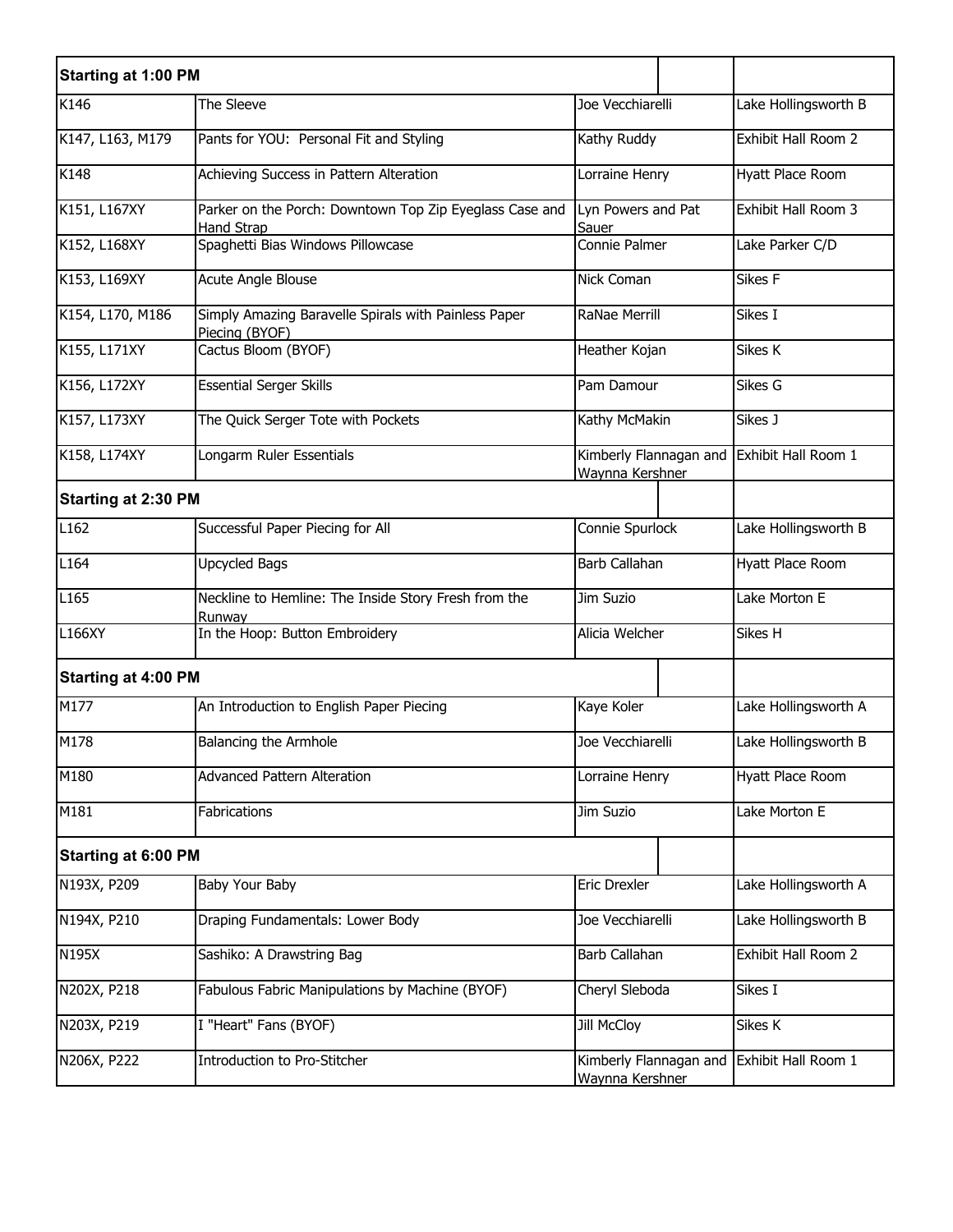| <b>Starting at 1:00 PM</b> |                                                                              |                                           |  |                      |
|----------------------------|------------------------------------------------------------------------------|-------------------------------------------|--|----------------------|
| K146                       | The Sleeve                                                                   | Joe Vecchiarelli                          |  | Lake Hollingsworth B |
| K147, L163, M179           | Pants for YOU: Personal Fit and Styling                                      | Kathy Ruddy                               |  | Exhibit Hall Room 2  |
| K148                       | Achieving Success in Pattern Alteration                                      | Lorraine Henry                            |  | Hyatt Place Room     |
| K151, L167XY               | Parker on the Porch: Downtown Top Zip Eyeglass Case and<br><b>Hand Strap</b> | Lyn Powers and Pat<br>Sauer               |  | Exhibit Hall Room 3  |
| K152, L168XY               | Spaghetti Bias Windows Pillowcase                                            | Connie Palmer                             |  | Lake Parker C/D      |
| K153, L169XY               | Acute Angle Blouse                                                           | Nick Coman                                |  | Sikes F              |
| K154, L170, M186           | Simply Amazing Baravelle Spirals with Painless Paper<br>Piecing (BYOF)       | RaNae Merrill                             |  | Sikes I              |
| K155, L171XY               | Cactus Bloom (BYOF)                                                          | Heather Kojan                             |  | Sikes K              |
| K156, L172XY               | <b>Essential Serger Skills</b>                                               | Pam Damour                                |  | Sikes G              |
| K157, L173XY               | The Quick Serger Tote with Pockets                                           | Kathy McMakin                             |  | Sikes J              |
| K158, L174XY               | Longarm Ruler Essentials                                                     | Kimberly Flannagan and<br>Waynna Kershner |  | Exhibit Hall Room 1  |
| <b>Starting at 2:30 PM</b> |                                                                              |                                           |  |                      |
| L162                       | Successful Paper Piecing for All                                             | Connie Spurlock                           |  | Lake Hollingsworth B |
| L164                       | <b>Upcycled Bags</b>                                                         | <b>Barb Callahan</b>                      |  | Hyatt Place Room     |
| L <sub>165</sub>           | Neckline to Hemline: The Inside Story Fresh from the<br>Runwav               | Jim Suzio                                 |  | Lake Morton E        |
| L166XY                     | In the Hoop: Button Embroidery                                               | Alicia Welcher                            |  | Sikes H              |
| <b>Starting at 4:00 PM</b> |                                                                              |                                           |  |                      |
| M177                       | An Introduction to English Paper Piecing                                     | Kaye Koler                                |  | Lake Hollingsworth A |
| M178                       | Balancing the Armhole                                                        | Joe Vecchiarelli                          |  | Lake Hollingsworth B |
| M180                       | <b>Advanced Pattern Alteration</b>                                           | Lorraine Henry                            |  | Hyatt Place Room     |
| M181                       | Fabrications                                                                 | Jim Suzio                                 |  | Lake Morton E        |
| <b>Starting at 6:00 PM</b> |                                                                              |                                           |  |                      |
| N193X, P209                | Baby Your Baby                                                               | <b>Eric Drexler</b>                       |  | Lake Hollingsworth A |
| N194X, P210                | Draping Fundamentals: Lower Body                                             | Joe Vecchiarelli                          |  | Lake Hollingsworth B |
| N195X                      | Sashiko: A Drawstring Bag                                                    | Barb Callahan                             |  | Exhibit Hall Room 2  |
| N202X, P218                | Fabulous Fabric Manipulations by Machine (BYOF)                              | Cheryl Sleboda                            |  | Sikes I              |
| N203X, P219                | I "Heart" Fans (BYOF)                                                        | <b>Jill McCloy</b>                        |  | Sikes K              |
| N206X, P222                | Introduction to Pro-Stitcher                                                 | Kimberly Flannagan and<br>Waynna Kershner |  | Exhibit Hall Room 1  |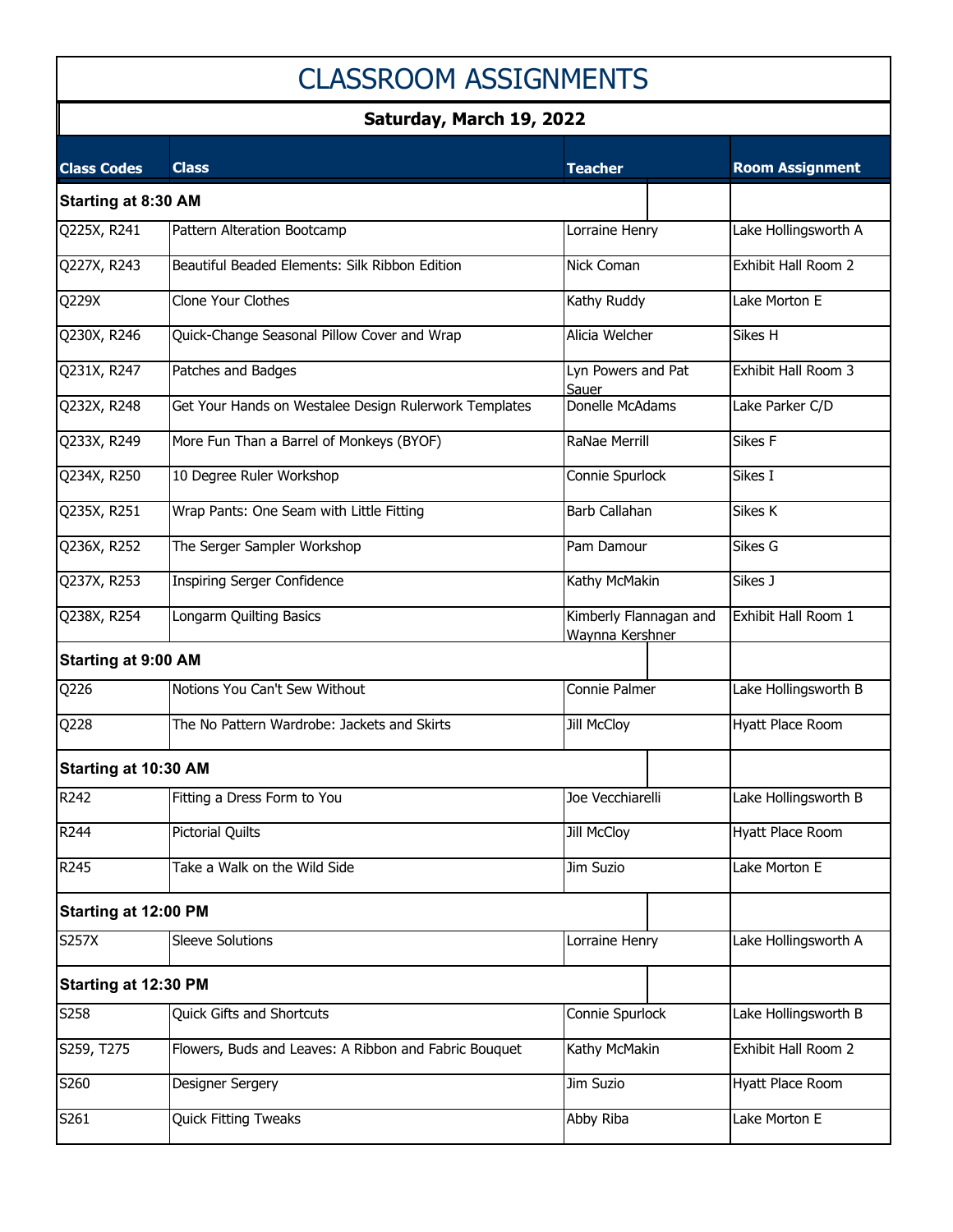## CLASSROOM ASSIGNMENTS

### **Saturday, March 19, 2022**

| <b>Class Codes</b>          | <b>Class</b>                                          | <b>Teacher</b>                            | <b>Room Assignment</b> |
|-----------------------------|-------------------------------------------------------|-------------------------------------------|------------------------|
| <b>Starting at 8:30 AM</b>  |                                                       |                                           |                        |
| Q225X, R241                 | Pattern Alteration Bootcamp                           | Lorraine Henry                            | Lake Hollingsworth A   |
| Q227X, R243                 | Beautiful Beaded Elements: Silk Ribbon Edition        | Nick Coman                                | Exhibit Hall Room 2    |
| Q229X                       | <b>Clone Your Clothes</b>                             | Kathy Ruddy                               | Lake Morton E          |
| Q230X, R246                 | Quick-Change Seasonal Pillow Cover and Wrap           | Alicia Welcher                            | Sikes H                |
| Q231X, R247                 | Patches and Badges                                    | Lyn Powers and Pat<br>Sauer               | Exhibit Hall Room 3    |
| Q232X, R248                 | Get Your Hands on Westalee Design Rulerwork Templates | Donelle McAdams                           | Lake Parker C/D        |
| Q233X, R249                 | More Fun Than a Barrel of Monkeys (BYOF)              | RaNae Merrill                             | Sikes F                |
| Q234X, R250                 | 10 Degree Ruler Workshop                              | Connie Spurlock                           | Sikes I                |
| Q235X, R251                 | Wrap Pants: One Seam with Little Fitting              | Barb Callahan                             | Sikes K                |
| Q236X, R252                 | The Serger Sampler Workshop                           | Pam Damour                                | Sikes G                |
| Q237X, R253                 | <b>Inspiring Serger Confidence</b>                    | Kathy McMakin                             | Sikes J                |
| Q238X, R254                 | Longarm Quilting Basics                               | Kimberly Flannagan and<br>Waynna Kershner | Exhibit Hall Room 1    |
| <b>Starting at 9:00 AM</b>  |                                                       |                                           |                        |
| Q226                        | Notions You Can't Sew Without                         | Connie Palmer                             | Lake Hollingsworth B   |
| Q228                        | The No Pattern Wardrobe: Jackets and Skirts           | Jill McCloy                               | Hyatt Place Room       |
| <b>Starting at 10:30 AM</b> |                                                       |                                           |                        |
| R242                        | Fitting a Dress Form to You                           | Joe Vecchiarelli                          | Lake Hollingsworth B   |
| R <sub>244</sub>            | <b>Pictorial Quilts</b>                               | <b>Jill McCloy</b>                        | Hyatt Place Room       |
| R245                        | Take a Walk on the Wild Side                          | Jim Suzio                                 | Lake Morton E          |
| <b>Starting at 12:00 PM</b> |                                                       |                                           |                        |
| <b>S257X</b>                | <b>Sleeve Solutions</b>                               | Lorraine Henry                            | Lake Hollingsworth A   |
| Starting at 12:30 PM        |                                                       |                                           |                        |
| S258                        | <b>Quick Gifts and Shortcuts</b>                      | Connie Spurlock                           | Lake Hollingsworth B   |
| S259, T275                  | Flowers, Buds and Leaves: A Ribbon and Fabric Bouquet | Kathy McMakin                             | Exhibit Hall Room 2    |
| S260                        | Designer Sergery                                      | Jim Suzio                                 | Hyatt Place Room       |
| S261                        | <b>Quick Fitting Tweaks</b>                           | Abby Riba                                 | Lake Morton E          |